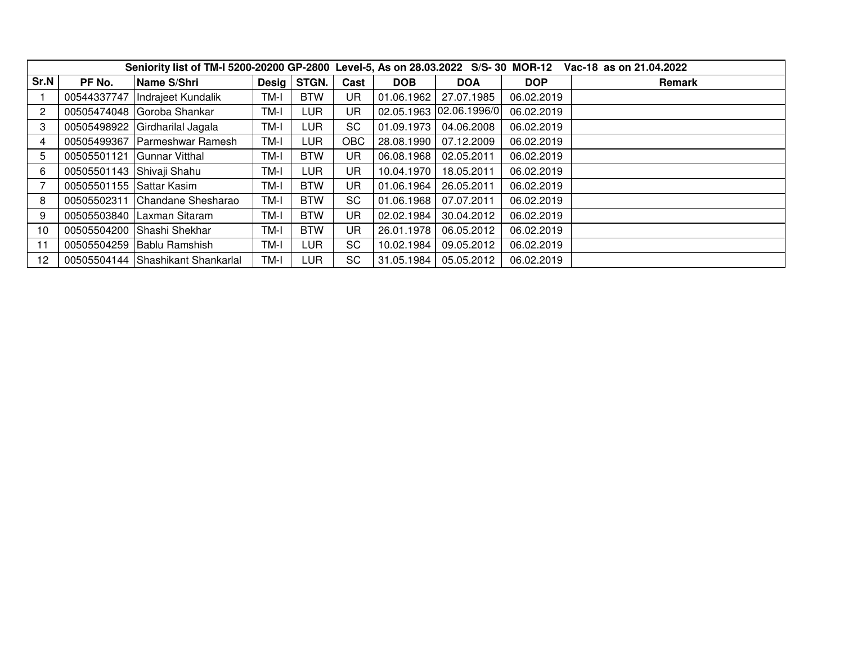|                | Seniority list of TM-I 5200-20200 GP-2800 Level-5, As on 28.03.2022 S/S-30 MOR-12 Vac-18 as on 21.04.2022 |                                   |               |            |            |            |              |            |        |  |  |  |  |
|----------------|-----------------------------------------------------------------------------------------------------------|-----------------------------------|---------------|------------|------------|------------|--------------|------------|--------|--|--|--|--|
| Sr.N           | PF No.                                                                                                    | Name S/Shri                       | Desig $\vert$ | STGN.      | Cast       | <b>DOB</b> | <b>DOA</b>   | <b>DOP</b> | Remark |  |  |  |  |
|                | 00544337747                                                                                               | Indrajeet Kundalik                | TM-I          | <b>BTW</b> | UR         | 01.06.1962 | 27.07.1985   | 06.02.2019 |        |  |  |  |  |
| $\overline{2}$ |                                                                                                           | 00505474048 Goroba Shankar        | TM-I          | LUR        | UR         | 02.05.1963 | 02.06.1996/0 | 06.02.2019 |        |  |  |  |  |
| 3              |                                                                                                           | 00505498922 Girdharilal Jagala    | TM-I          | LUR        | SC         | 01.09.1973 | 04.06.2008   | 06.02.2019 |        |  |  |  |  |
| 4              |                                                                                                           | 00505499367 Parmeshwar Ramesh     | TM-I          | <b>LUR</b> | <b>OBC</b> | 28.08.1990 | 07.12.2009   | 06.02.2019 |        |  |  |  |  |
| 5.             | 00505501121                                                                                               | <b>Gunnar Vitthal</b>             | TM-I          | <b>BTW</b> | UR         | 06.08.1968 | 02.05.2011   | 06.02.2019 |        |  |  |  |  |
| 6              | 00505501143 Shivaji Shahu                                                                                 |                                   | TM-I          | LUR        | UR         | 10.04.1970 | 18.05.2011   | 06.02.2019 |        |  |  |  |  |
|                | 00505501155 Sattar Kasim                                                                                  |                                   | TM-I          | <b>BTW</b> | UR         | 01.06.1964 | 26.05.2011   | 06.02.2019 |        |  |  |  |  |
| 8              | 00505502311                                                                                               | Chandane Shesharao                | TM-I          | <b>BTW</b> | SC         | 01.06.1968 | 07.07.2011   | 06.02.2019 |        |  |  |  |  |
| 9              |                                                                                                           | 00505503840 Laxman Sitaram        | TM-I          | <b>BTW</b> | UR         | 02.02.1984 | 30.04.2012   | 06.02.2019 |        |  |  |  |  |
| 10             |                                                                                                           | 00505504200 Shashi Shekhar        | TM-I          | <b>BTW</b> | UR         | 26.01.1978 | 06.05.2012   | 06.02.2019 |        |  |  |  |  |
| 11             |                                                                                                           | 00505504259 Bablu Ramshish        | TM-I          | LUR        | SC         | 10.02.1984 | 09.05.2012   | 06.02.2019 |        |  |  |  |  |
| 12             |                                                                                                           | 00505504144 Shashikant Shankarlal | TM-I          | LUR        | <b>SC</b>  | 31.05.1984 | 05.05.2012   | 06.02.2019 |        |  |  |  |  |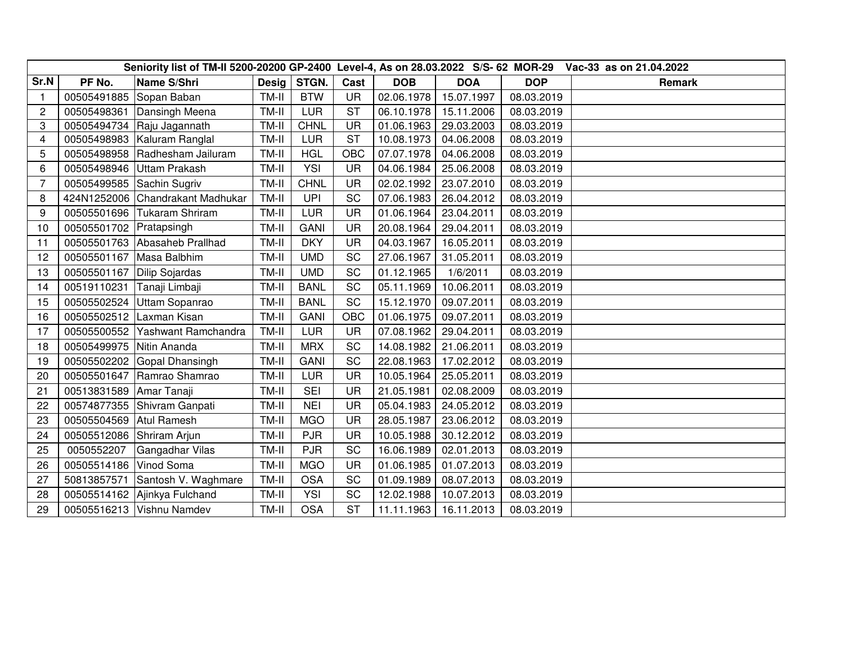| Seniority list of TM-II 5200-20200 GP-2400 Level-4, As on 28.03.2022 S/S- 62 MOR-29 |             |                                  |              |             |           |            |            |            | Vac-33 as on 21.04.2022 |
|-------------------------------------------------------------------------------------|-------------|----------------------------------|--------------|-------------|-----------|------------|------------|------------|-------------------------|
| Sr.N                                                                                | PF No.      | Name S/Shri                      | <b>Desig</b> | STGN.       | Cast      | <b>DOB</b> | <b>DOA</b> | <b>DOP</b> | Remark                  |
| -1                                                                                  | 00505491885 | Sopan Baban                      | TM-II        | <b>BTW</b>  | <b>UR</b> | 02.06.1978 | 15.07.1997 | 08.03.2019 |                         |
| $\overline{c}$                                                                      | 00505498361 | Dansingh Meena                   | TM-II        | <b>LUR</b>  | <b>ST</b> | 06.10.1978 | 15.11.2006 | 08.03.2019 |                         |
| 3                                                                                   | 00505494734 | Raju Jagannath                   | TM-II        | <b>CHNL</b> | <b>UR</b> | 01.06.1963 | 29.03.2003 | 08.03.2019 |                         |
| 4                                                                                   | 00505498983 | Kaluram Ranglal                  | TM-II        | LUR         | <b>ST</b> | 10.08.1973 | 04.06.2008 | 08.03.2019 |                         |
| 5                                                                                   | 00505498958 | Radhesham Jailuram               | TM-II        | <b>HGL</b>  | OBC       | 07.07.1978 | 04.06.2008 | 08.03.2019 |                         |
| 6                                                                                   | 00505498946 | Uttam Prakash                    | TM-II        | <b>YSI</b>  | UR        | 04.06.1984 | 25.06.2008 | 08.03.2019 |                         |
| 7                                                                                   | 00505499585 | Sachin Sugriv                    | TM-II        | <b>CHNL</b> | <b>UR</b> | 02.02.1992 | 23.07.2010 | 08.03.2019 |                         |
| 8                                                                                   |             | 424N1252006 Chandrakant Madhukar | TM-II        | <b>UPI</b>  | SC        | 07.06.1983 | 26.04.2012 | 08.03.2019 |                         |
| 9                                                                                   | 00505501696 | Tukaram Shriram                  | TM-II        | LUR         | <b>UR</b> | 01.06.1964 | 23.04.2011 | 08.03.2019 |                         |
| 10                                                                                  | 00505501702 | Pratapsingh                      | TM-II        | <b>GANI</b> | <b>UR</b> | 20.08.1964 | 29.04.2011 | 08.03.2019 |                         |
| 11                                                                                  | 00505501763 | Abasaheb Prallhad                | TM-II        | <b>DKY</b>  | UR        | 04.03.1967 | 16.05.2011 | 08.03.2019 |                         |
| 12                                                                                  | 00505501167 | Masa Balbhim                     | TM-II        | <b>UMD</b>  | SC        | 27.06.1967 | 31.05.2011 | 08.03.2019 |                         |
| 13                                                                                  | 00505501167 | <b>Dilip Sojardas</b>            | TM-II        | <b>UMD</b>  | SC        | 01.12.1965 | 1/6/2011   | 08.03.2019 |                         |
| 14                                                                                  | 00519110231 | Tanaji Limbaji                   | TM-II        | <b>BANL</b> | SC        | 05.11.1969 | 10.06.2011 | 08.03.2019 |                         |
| 15                                                                                  | 00505502524 | Uttam Sopanrao                   | TM-II        | <b>BANL</b> | SC        | 15.12.1970 | 09.07.2011 | 08.03.2019 |                         |
| 16                                                                                  | 00505502512 | Laxman Kisan                     | TM-II        | GANI        | OBC       | 01.06.1975 | 09.07.2011 | 08.03.2019 |                         |
| 17                                                                                  | 00505500552 | Yashwant Ramchandra              | TM-II        | <b>LUR</b>  | <b>UR</b> | 07.08.1962 | 29.04.2011 | 08.03.2019 |                         |
| 18                                                                                  | 00505499975 | Nitin Ananda                     | TM-II        | <b>MRX</b>  | SC        | 14.08.1982 | 21.06.2011 | 08.03.2019 |                         |
| 19                                                                                  | 00505502202 | Gopal Dhansingh                  | TM-II        | <b>GANI</b> | SC        | 22.08.1963 | 17.02.2012 | 08.03.2019 |                         |
| 20                                                                                  | 00505501647 | Ramrao Shamrao                   | TM-II        | <b>LUR</b>  | <b>UR</b> | 10.05.1964 | 25.05.2011 | 08.03.2019 |                         |
| 21                                                                                  | 00513831589 | Amar Tanaji                      | TM-II        | <b>SEI</b>  | <b>UR</b> | 21.05.1981 | 02.08.2009 | 08.03.2019 |                         |
| 22                                                                                  | 00574877355 | Shivram Ganpati                  | TM-II        | <b>NEI</b>  | <b>UR</b> | 05.04.1983 | 24.05.2012 | 08.03.2019 |                         |
| 23                                                                                  | 00505504569 | <b>Atul Ramesh</b>               | TM-II        | <b>MGO</b>  | UR        | 28.05.1987 | 23.06.2012 | 08.03.2019 |                         |
| 24                                                                                  | 00505512086 | Shriram Arjun                    | TM-II        | <b>PJR</b>  | <b>UR</b> | 10.05.1988 | 30.12.2012 | 08.03.2019 |                         |
| 25                                                                                  | 0050552207  | Gangadhar Vilas                  | TM-II        | <b>PJR</b>  | <b>SC</b> | 16.06.1989 | 02.01.2013 | 08.03.2019 |                         |
| 26                                                                                  | 00505514186 | Vinod Soma                       | TM-II        | <b>MGO</b>  | <b>UR</b> | 01.06.1985 | 01.07.2013 | 08.03.2019 |                         |
| 27                                                                                  | 50813857571 | Santosh V. Waghmare              | TM-II        | <b>OSA</b>  | SC        | 01.09.1989 | 08.07.2013 | 08.03.2019 |                         |
| 28                                                                                  | 00505514162 | Ajinkya Fulchand                 | TM-II        | <b>YSI</b>  | SC        | 12.02.1988 | 10.07.2013 | 08.03.2019 |                         |
| 29                                                                                  |             | 00505516213   Vishnu Namdev      | TM-II        | <b>OSA</b>  | <b>ST</b> | 11.11.1963 | 16.11.2013 | 08.03.2019 |                         |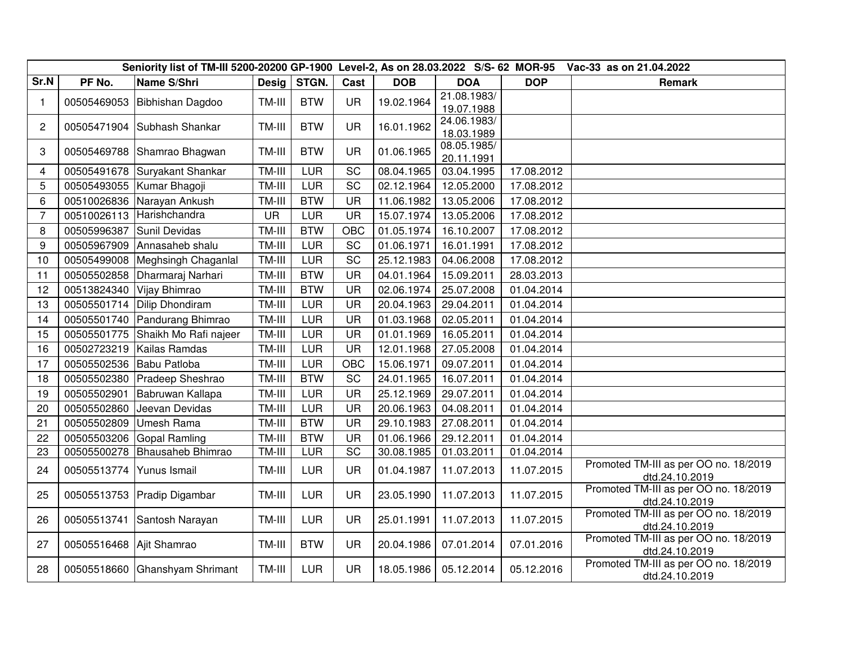|                |             |                                |              |            |           | Seniority list of TM-III 5200-20200 GP-1900 Level-2, As on 28.03.2022 S/S- 62 MOR-95<br>Vac-33 as on 21.04.2022 |                           |            |                                                         |  |  |
|----------------|-------------|--------------------------------|--------------|------------|-----------|-----------------------------------------------------------------------------------------------------------------|---------------------------|------------|---------------------------------------------------------|--|--|
| Sr.N           | PF No.      | Name S/Shri                    | <b>Desig</b> | STGN.      | Cast      | <b>DOB</b>                                                                                                      | <b>DOA</b>                | <b>DOP</b> | Remark                                                  |  |  |
| $\mathbf{1}$   | 00505469053 | Bibhishan Dagdoo               | TM-III       | <b>BTW</b> | <b>UR</b> | 19.02.1964                                                                                                      | 21.08.1983/               |            |                                                         |  |  |
|                |             |                                |              |            |           |                                                                                                                 | 19.07.1988<br>24.06.1983/ |            |                                                         |  |  |
| $\overline{2}$ | 00505471904 | Subhash Shankar                | TM-III       | <b>BTW</b> | <b>UR</b> | 16.01.1962                                                                                                      | 18.03.1989                |            |                                                         |  |  |
|                |             |                                |              |            |           |                                                                                                                 | 08.05.1985/               |            |                                                         |  |  |
| 3              | 00505469788 | Shamrao Bhagwan                | TM-III       | <b>BTW</b> | <b>UR</b> | 01.06.1965                                                                                                      | 20.11.1991                |            |                                                         |  |  |
| 4              | 00505491678 | Suryakant Shankar              | TM-III       | LUR        | SC        | 08.04.1965                                                                                                      | 03.04.1995                | 17.08.2012 |                                                         |  |  |
| 5              | 00505493055 | Kumar Bhagoji                  | TM-III       | LUR        | SC        | 02.12.1964                                                                                                      | 12.05.2000                | 17.08.2012 |                                                         |  |  |
| 6              | 00510026836 | Narayan Ankush                 | TM-III       | <b>BTW</b> | <b>UR</b> | 11.06.1982                                                                                                      | 13.05.2006                | 17.08.2012 |                                                         |  |  |
| $\overline{7}$ | 00510026113 | Harishchandra                  | <b>UR</b>    | LUR        | <b>UR</b> | 15.07.1974                                                                                                      | 13.05.2006                | 17.08.2012 |                                                         |  |  |
| 8              | 00505996387 | Sunil Devidas                  | TM-III       | <b>BTW</b> | OBC       | 01.05.1974                                                                                                      | 16.10.2007                | 17.08.2012 |                                                         |  |  |
| 9              | 00505967909 | Annasaheb shalu                | TM-III       | <b>LUR</b> | SC        | 01.06.1971                                                                                                      | 16.01.1991                | 17.08.2012 |                                                         |  |  |
| 10             | 00505499008 | Meghsingh Chaganlal            | TM-III       | <b>LUR</b> | SC        | 25.12.1983                                                                                                      | 04.06.2008                | 17.08.2012 |                                                         |  |  |
| 11             | 00505502858 | Dharmaraj Narhari              | TM-III       | <b>BTW</b> | <b>UR</b> | 04.01.1964                                                                                                      | 15.09.2011                | 28.03.2013 |                                                         |  |  |
| 12             | 00513824340 | Vijay Bhimrao                  | TM-III       | <b>BTW</b> | UR        | 02.06.1974                                                                                                      | 25.07.2008                | 01.04.2014 |                                                         |  |  |
| 13             | 00505501714 | Dilip Dhondiram                | TM-III       | <b>LUR</b> | <b>UR</b> | 20.04.1963                                                                                                      | 29.04.2011                | 01.04.2014 |                                                         |  |  |
| 14             | 00505501740 | Pandurang Bhimrao              | TM-III       | <b>LUR</b> | <b>UR</b> | 01.03.1968                                                                                                      | 02.05.2011                | 01.04.2014 |                                                         |  |  |
| 15             | 00505501775 | Shaikh Mo Rafi najeer          | TM-III       | <b>LUR</b> | <b>UR</b> | 01.01.1969                                                                                                      | 16.05.2011                | 01.04.2014 |                                                         |  |  |
| 16             | 00502723219 | Kailas Ramdas                  | TM-III       | LUR        | <b>UR</b> | 12.01.1968                                                                                                      | 27.05.2008                | 01.04.2014 |                                                         |  |  |
| 17             | 00505502536 | Babu Patloba                   | TM-III       | <b>LUR</b> | OBC       | 15.06.1971                                                                                                      | 09.07.2011                | 01.04.2014 |                                                         |  |  |
| 18             | 00505502380 | Pradeep Sheshrao               | TM-III       | <b>BTW</b> | SC        | 24.01.1965                                                                                                      | 16.07.2011                | 01.04.2014 |                                                         |  |  |
| 19             | 00505502901 | Babruwan Kallapa               | TM-III       | <b>LUR</b> | UR        | 25.12.1969                                                                                                      | 29.07.2011                | 01.04.2014 |                                                         |  |  |
| 20             | 00505502860 | Jeevan Devidas                 | TM-III       | LUR        | <b>UR</b> | 20.06.1963                                                                                                      | 04.08.2011                | 01.04.2014 |                                                         |  |  |
| 21             | 00505502809 | Umesh Rama                     | TM-III       | <b>BTW</b> | <b>UR</b> | 29.10.1983                                                                                                      | 27.08.2011                | 01.04.2014 |                                                         |  |  |
| 22             | 00505503206 | Gopal Ramling                  | TM-III       | <b>BTW</b> | <b>UR</b> | 01.06.1966                                                                                                      | 29.12.2011                | 01.04.2014 |                                                         |  |  |
| 23             | 00505500278 | Bhausaheb Bhimrao              | TM-III       | LUR        | SC        | 30.08.1985                                                                                                      | 01.03.2011                | 01.04.2014 |                                                         |  |  |
| 24             | 00505513774 | Yunus Ismail                   | TM-III       | <b>LUR</b> | <b>UR</b> | 01.04.1987                                                                                                      | 11.07.2013                | 11.07.2015 | Promoted TM-III as per OO no. 18/2019<br>dtd.24.10.2019 |  |  |
| 25             | 00505513753 | Pradip Digambar                | TM-III       | <b>LUR</b> | <b>UR</b> | 23.05.1990                                                                                                      | 11.07.2013                | 11.07.2015 | Promoted TM-III as per OO no. 18/2019<br>dtd.24.10.2019 |  |  |
| 26             | 00505513741 | Santosh Narayan                | TM-III       | <b>LUR</b> | <b>UR</b> | 25.01.1991                                                                                                      | 11.07.2013                | 11.07.2015 | Promoted TM-III as per OO no. 18/2019<br>dtd.24.10.2019 |  |  |
| 27             | 00505516468 | Ajit Shamrao                   | TM-III       | <b>BTW</b> | <b>UR</b> | 20.04.1986                                                                                                      | 07.01.2014                | 07.01.2016 | Promoted TM-III as per OO no. 18/2019<br>dtd.24.10.2019 |  |  |
| 28             |             | 00505518660 Ghanshyam Shrimant | TM-III       | LUR        | <b>UR</b> | 18.05.1986                                                                                                      | 05.12.2014                | 05.12.2016 | Promoted TM-III as per OO no. 18/2019<br>dtd.24.10.2019 |  |  |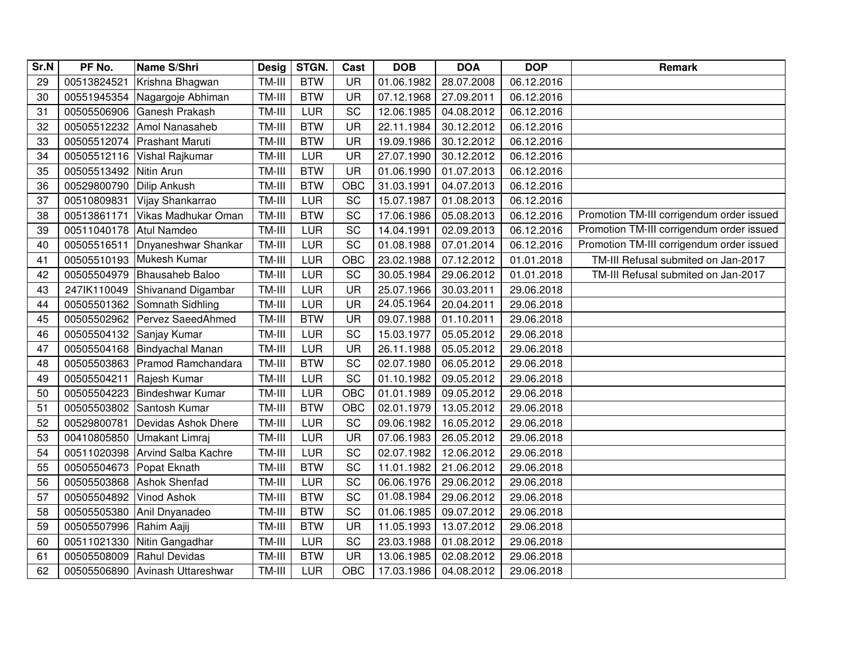| Sr.N | PF No.      | Name S/Shri                | <b>Desig</b> | STGN.      | Cast      | <b>DOB</b> | <b>DOA</b> | <b>DOP</b> | Remark                                    |
|------|-------------|----------------------------|--------------|------------|-----------|------------|------------|------------|-------------------------------------------|
| 29   | 00513824521 | Krishna Bhagwan            | TM-III       | <b>BTW</b> | <b>UR</b> | 01.06.1982 | 28.07.2008 | 06.12.2016 |                                           |
| 30   | 00551945354 | Nagargoje Abhiman          | TM-III       | <b>BTW</b> | <b>UR</b> | 07.12.1968 | 27.09.2011 | 06.12.2016 |                                           |
| 31   | 00505506906 | Ganesh Prakash             | TM-III       | <b>LUR</b> | SC        | 12.06.1985 | 04.08.2012 | 06.12.2016 |                                           |
| 32   | 00505512232 | Amol Nanasaheb             | TM-III       | <b>BTW</b> | <b>UR</b> | 22.11.1984 | 30.12.2012 | 06.12.2016 |                                           |
| 33   | 00505512074 | <b>Prashant Maruti</b>     | TM-III       | <b>BTW</b> | <b>UR</b> | 19.09.1986 | 30.12.2012 | 06.12.2016 |                                           |
| 34   | 00505512116 | Vishal Rajkumar            | TM-III       | LUR        | UR        | 27.07.1990 | 30.12.2012 | 06.12.2016 |                                           |
| 35   | 00505513492 | Nitin Arun                 | TM-III       | <b>BTW</b> | <b>UR</b> | 01.06.1990 | 01.07.2013 | 06.12.2016 |                                           |
| 36   | 00529800790 | Dilip Ankush               | TM-III       | <b>BTW</b> | OBC       | 31.03.1991 | 04.07.2013 | 06.12.2016 |                                           |
| 37   | 00510809831 | Vijay Shankarrao           | TM-III       | <b>LUR</b> | SC        | 15.07.1987 | 01.08.2013 | 06.12.2016 |                                           |
| 38   | 00513861171 | Vikas Madhukar Oman        | TM-III       | <b>BTW</b> | SC        | 17.06.1986 | 05.08.2013 | 06.12.2016 | Promotion TM-III corrigendum order issued |
| 39   | 00511040178 | Atul Namdeo                | TM-III       | LUR        | SC        | 14.04.1991 | 02.09.2013 | 06.12.2016 | Promotion TM-III corrigendum order issued |
| 40   | 00505516511 | Dnyaneshwar Shankar        | TM-III       | <b>LUR</b> | SC        | 01.08.1988 | 07.01.2014 | 06.12.2016 | Promotion TM-III corrigendum order issued |
| 41   | 00505510193 | Mukesh Kumar               | TM-III       | LUR        | OBC       | 23.02.1988 | 07.12.2012 | 01.01.2018 | TM-III Refusal submited on Jan-2017       |
| 42   | 00505504979 | <b>Bhausaheb Baloo</b>     | TM-III       | LUR        | SC        | 30.05.1984 | 29.06.2012 | 01.01.2018 | TM-III Refusal submited on Jan-2017       |
| 43   | 247lK110049 | Shivanand Digambar         | TM-III       | LUR        | <b>UR</b> | 25.07.1966 | 30.03.2011 | 29.06.2018 |                                           |
| 44   | 00505501362 | Somnath Sidhling           | TM-III       | <b>LUR</b> | <b>UR</b> | 24.05.1964 | 20.04.2011 | 29.06.2018 |                                           |
| 45   | 00505502962 | Pervez SaeedAhmed          | TM-III       | <b>BTW</b> | <b>UR</b> | 09.07.1988 | 01.10.2011 | 29.06.2018 |                                           |
| 46   | 00505504132 | Sanjay Kumar               | TM-III       | LUR        | SC        | 15.03.1977 | 05.05.2012 | 29.06.2018 |                                           |
| 47   | 00505504168 | Bindyachal Manan           | TM-III       | <b>LUR</b> | <b>UR</b> | 26.11.1988 | 05.05.2012 | 29.06.2018 |                                           |
| 48   | 00505503863 | Pramod Ramchandara         | TM-III       | <b>BTW</b> | SC        | 02.07.1980 | 06.05.2012 | 29.06.2018 |                                           |
| 49   | 00505504211 | Rajesh Kumar               | TM-III       | LUR        | SC        | 01.10.1982 | 09.05.2012 | 29.06.2018 |                                           |
| 50   | 00505504223 | Bindeshwar Kumar           | TM-III       | LUR        | OBC       | 01.01.1989 | 09.05.2012 | 29.06.2018 |                                           |
| 51   | 00505503802 | Santosh Kumar              | TM-III       | <b>BTW</b> | OBC       | 02.01.1979 | 13.05.2012 | 29.06.2018 |                                           |
| 52   | 00529800781 | Devidas Ashok Dhere        | TM-III       | LUR        | SC        | 09.06.1982 | 16.05.2012 | 29.06.2018 |                                           |
| 53   | 00410805850 | Umakant Limraj             | TM-III       | <b>LUR</b> | UR        | 07.06.1983 | 26.05.2012 | 29.06.2018 |                                           |
| 54   | 00511020398 | <b>Arvind Salba Kachre</b> | TM-III       | <b>LUR</b> | SC        | 02.07.1982 | 12.06.2012 | 29.06.2018 |                                           |
| 55   | 00505504673 | Popat Eknath               | TM-III       | <b>BTW</b> | SC        | 11.01.1982 | 21.06.2012 | 29.06.2018 |                                           |
| 56   | 00505503868 | <b>Ashok Shenfad</b>       | TM-III       | <b>LUR</b> | SC        | 06.06.1976 | 29.06.2012 | 29.06.2018 |                                           |
| 57   | 00505504892 | Vinod Ashok                | TM-III       | <b>BTW</b> | SC        | 01.08.1984 | 29.06.2012 | 29.06.2018 |                                           |
| 58   | 00505505380 | Anil Dnyanadeo             | TM-III       | <b>BTW</b> | SC        | 01.06.1985 | 09.07.2012 | 29.06.2018 |                                           |
| 59   | 00505507996 | Rahim Aajij                | TM-III       | <b>BTW</b> | <b>UR</b> | 11.05.1993 | 13.07.2012 | 29.06.2018 |                                           |
| 60   | 00511021330 | Nitin Gangadhar            | TM-III       | LUR        | SC        | 23.03.1988 | 01.08.2012 | 29.06.2018 |                                           |
| 61   | 00505508009 | Rahul Devidas              | TM-III       | <b>BTW</b> | <b>UR</b> | 13.06.1985 | 02.08.2012 | 29.06.2018 |                                           |
| 62   | 00505506890 | Avinash Uttareshwar        | TM-III       | LUR        | OBC       | 17.03.1986 | 04.08.2012 | 29.06.2018 |                                           |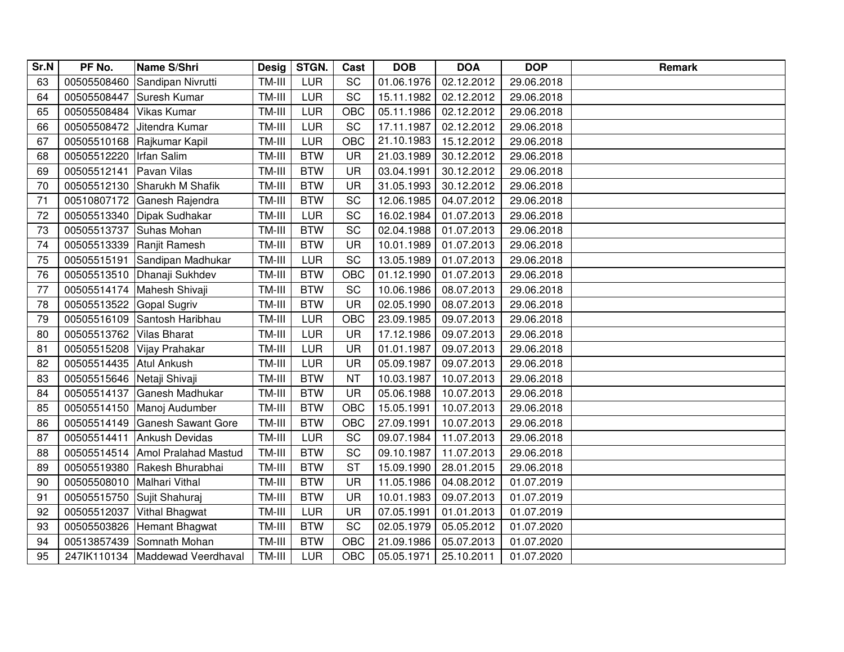| Sr.N | PF No.      | Name S/Shri                       | <b>Desig</b> | STGN.      | Cast       | <b>DOB</b> | <b>DOA</b> | <b>DOP</b> | Remark |
|------|-------------|-----------------------------------|--------------|------------|------------|------------|------------|------------|--------|
| 63   | 00505508460 | Sandipan Nivrutti                 | TM-III       | LUR        | <b>SC</b>  | 01.06.1976 | 02.12.2012 | 29.06.2018 |        |
| 64   | 00505508447 | Suresh Kumar                      | TM-III       | LUR        | SC         | 15.11.1982 | 02.12.2012 | 29.06.2018 |        |
| 65   | 00505508484 | Vikas Kumar                       | TM-III       | LUR        | OBC        | 05.11.1986 | 02.12.2012 | 29.06.2018 |        |
| 66   | 00505508472 | Jitendra Kumar                    | TM-III       | LUR        | SC         | 17.11.1987 | 02.12.2012 | 29.06.2018 |        |
| 67   | 00505510168 | Rajkumar Kapil                    | TM-III       | LUR        | <b>OBC</b> | 21.10.1983 | 15.12.2012 | 29.06.2018 |        |
| 68   | 00505512220 | Irfan Salim                       | TM-III       | <b>BTW</b> | <b>UR</b>  | 21.03.1989 | 30.12.2012 | 29.06.2018 |        |
| 69   | 00505512141 | Pavan Vilas                       | TM-III       | <b>BTW</b> | <b>UR</b>  | 03.04.1991 | 30.12.2012 | 29.06.2018 |        |
| 70   | 00505512130 | Sharukh M Shafik                  | TM-III       | <b>BTW</b> | <b>UR</b>  | 31.05.1993 | 30.12.2012 | 29.06.2018 |        |
| 71   | 00510807172 | Ganesh Rajendra                   | TM-III       | <b>BTW</b> | SC         | 12.06.1985 | 04.07.2012 | 29.06.2018 |        |
| 72   | 00505513340 | Dipak Sudhakar                    | TM-III       | LUR        | SC         | 16.02.1984 | 01.07.2013 | 29.06.2018 |        |
| 73   | 00505513737 | Suhas Mohan                       | TM-III       | <b>BTW</b> | SC         | 02.04.1988 | 01.07.2013 | 29.06.2018 |        |
| 74   | 00505513339 | Ranjit Ramesh                     | TM-III       | <b>BTW</b> | <b>UR</b>  | 10.01.1989 | 01.07.2013 | 29.06.2018 |        |
| 75   | 00505515191 | Sandipan Madhukar                 | TM-III       | <b>LUR</b> | SC         | 13.05.1989 | 01.07.2013 | 29.06.2018 |        |
| 76   | 00505513510 | Dhanaji Sukhdev                   | TM-III       | <b>BTW</b> | OBC        | 01.12.1990 | 01.07.2013 | 29.06.2018 |        |
| 77   | 00505514174 | Mahesh Shivaji                    | TM-III       | <b>BTW</b> | SC         | 10.06.1986 | 08.07.2013 | 29.06.2018 |        |
| 78   | 00505513522 | Gopal Sugriv                      | TM-III       | <b>BTW</b> | UR         | 02.05.1990 | 08.07.2013 | 29.06.2018 |        |
| 79   | 00505516109 | Santosh Haribhau                  | TM-III       | LUR        | OBC        | 23.09.1985 | 09.07.2013 | 29.06.2018 |        |
| 80   | 00505513762 | Vilas Bharat                      | TM-III       | LUR        | <b>UR</b>  | 17.12.1986 | 09.07.2013 | 29.06.2018 |        |
| 81   | 00505515208 | Vijay Prahakar                    | TM-III       | LUR        | <b>UR</b>  | 01.01.1987 | 09.07.2013 | 29.06.2018 |        |
| 82   | 00505514435 | Atul Ankush                       | TM-III       | LUR        | UR         | 05.09.1987 | 09.07.2013 | 29.06.2018 |        |
| 83   | 00505515646 | Netaji Shivaji                    | TM-III       | <b>BTW</b> | <b>NT</b>  | 10.03.1987 | 10.07.2013 | 29.06.2018 |        |
| 84   | 00505514137 | Ganesh Madhukar                   | TM-III       | <b>BTW</b> | <b>UR</b>  | 05.06.1988 | 10.07.2013 | 29.06.2018 |        |
| 85   | 00505514150 | Manoj Audumber                    | TM-III       | <b>BTW</b> | OBC        | 15.05.1991 | 10.07.2013 | 29.06.2018 |        |
| 86   | 00505514149 | <b>Ganesh Sawant Gore</b>         | TM-III       | <b>BTW</b> | OBC        | 27.09.1991 | 10.07.2013 | 29.06.2018 |        |
| 87   | 00505514411 | <b>Ankush Devidas</b>             | TM-III       | LUR        | SC         | 09.07.1984 | 11.07.2013 | 29.06.2018 |        |
| 88   | 00505514514 | <b>Amol Pralahad Mastud</b>       | TM-III       | <b>BTW</b> | SC         | 09.10.1987 | 11.07.2013 | 29.06.2018 |        |
| 89   | 00505519380 | Rakesh Bhurabhai                  | TM-III       | <b>BTW</b> | <b>ST</b>  | 15.09.1990 | 28.01.2015 | 29.06.2018 |        |
| 90   | 00505508010 | Malhari Vithal                    | TM-III       | <b>BTW</b> | UR         | 11.05.1986 | 04.08.2012 | 01.07.2019 |        |
| 91   | 00505515750 | Sujit Shahuraj                    | TM-III       | <b>BTW</b> | <b>UR</b>  | 10.01.1983 | 09.07.2013 | 01.07.2019 |        |
| 92   | 00505512037 | Vithal Bhagwat                    | TM-III       | LUR        | UR         | 07.05.1991 | 01.01.2013 | 01.07.2019 |        |
| 93   | 00505503826 | Hemant Bhagwat                    | TM-III       | <b>BTW</b> | SC         | 02.05.1979 | 05.05.2012 | 01.07.2020 |        |
| 94   | 00513857439 | Somnath Mohan                     | TM-III       | <b>BTW</b> | OBC        | 21.09.1986 | 05.07.2013 | 01.07.2020 |        |
| 95   |             | 247IK110134   Maddewad Veerdhaval | TM-III       | LUR        | OBC        | 05.05.1971 | 25.10.2011 | 01.07.2020 |        |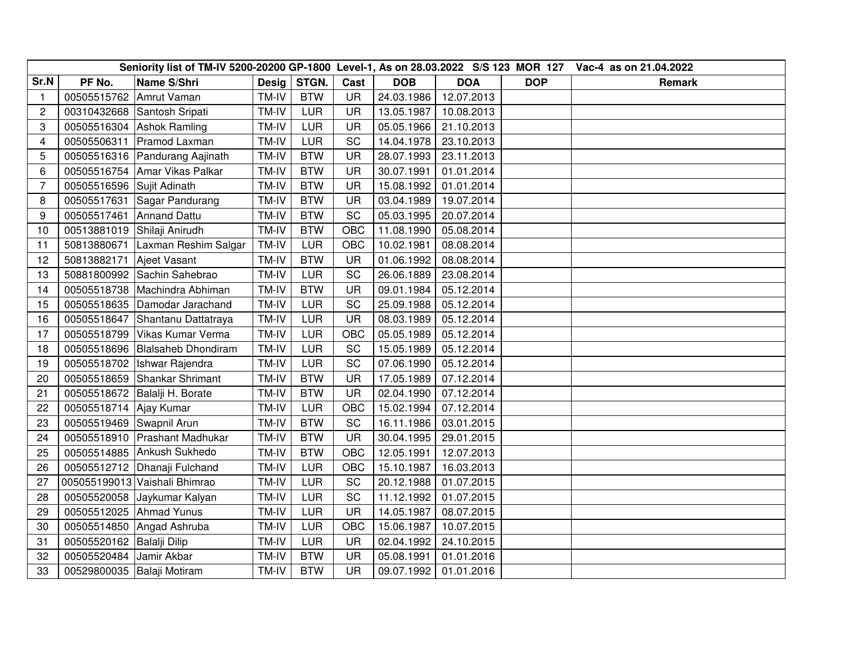|                |                           |                                  |       |            |           |            |            | Seniority list of TM-IV 5200-20200 GP-1800 Level-1, As on 28.03.2022 S/S 123 MOR 127 Vac-4 as on 21.04.2022 |        |
|----------------|---------------------------|----------------------------------|-------|------------|-----------|------------|------------|-------------------------------------------------------------------------------------------------------------|--------|
| Sr.N           | PF No.                    | Name S/Shri                      | Desig | STGN.      | Cast      | <b>DOB</b> | <b>DOA</b> | <b>DOP</b>                                                                                                  | Remark |
| $\mathbf{1}$   | 00505515762 Amrut Vaman   |                                  | TM-IV | <b>BTW</b> | <b>UR</b> | 24.03.1986 | 12.07.2013 |                                                                                                             |        |
| $\overline{c}$ |                           | 00310432668 Santosh Sripati      | TM-IV | LUR        | <b>UR</b> | 13.05.1987 | 10.08.2013 |                                                                                                             |        |
| 3              |                           | 00505516304 Ashok Ramling        | TM-IV | LUR        | <b>UR</b> | 05.05.1966 | 21.10.2013 |                                                                                                             |        |
| $\overline{4}$ | 00505506311               | Pramod Laxman                    | TM-IV | <b>LUR</b> | SC        | 14.04.1978 | 23.10.2013 |                                                                                                             |        |
| 5              |                           | 00505516316   Pandurang Aajinath | TM-IV | <b>BTW</b> | <b>UR</b> | 28.07.1993 | 23.11.2013 |                                                                                                             |        |
| 6              | 00505516754               | Amar Vikas Palkar                | TM-IV | <b>BTW</b> | <b>UR</b> | 30.07.1991 | 01.01.2014 |                                                                                                             |        |
| $\overline{7}$ | 00505516596               | Sujit Adinath                    | TM-IV | <b>BTW</b> | <b>UR</b> | 15.08.1992 | 01.01.2014 |                                                                                                             |        |
| 8              | 00505517631               | Sagar Pandurang                  | TM-IV | <b>BTW</b> | <b>UR</b> | 03.04.1989 | 19.07.2014 |                                                                                                             |        |
| 9              | 00505517461               | <b>Annand Dattu</b>              | TM-IV | <b>BTW</b> | SC        | 05.03.1995 | 20.07.2014 |                                                                                                             |        |
| 10             | 00513881019               | Shilaji Anirudh                  | TM-IV | <b>BTW</b> | OBC       | 11.08.1990 | 05.08.2014 |                                                                                                             |        |
| 11             | 50813880671               | Laxman Reshim Salgar             | TM-IV | <b>LUR</b> | OBC       | 10.02.1981 | 08.08.2014 |                                                                                                             |        |
| 12             | 50813882171               | Ajeet Vasant                     | TM-IV | <b>BTW</b> | UR        | 01.06.1992 | 08.08.2014 |                                                                                                             |        |
| 13             | 50881800992               | Sachin Sahebrao                  | TM-IV | LUR        | SC        | 26.06.1889 | 23.08.2014 |                                                                                                             |        |
| 14             | 00505518738               | Machindra Abhiman                | TM-IV | <b>BTW</b> | UR        | 09.01.1984 | 05.12.2014 |                                                                                                             |        |
| 15             | 00505518635               | Damodar Jarachand                | TM-IV | LUR        | SC        | 25.09.1988 | 05.12.2014 |                                                                                                             |        |
| 16             | 00505518647               | Shantanu Dattatraya              | TM-IV | <b>LUR</b> | <b>UR</b> | 08.03.1989 | 05.12.2014 |                                                                                                             |        |
| 17             | 00505518799               | Vikas Kumar Verma                | TM-IV | LUR        | OBC       | 05.05.1989 | 05.12.2014 |                                                                                                             |        |
| 18             | 00505518696               | <b>Blalsaheb Dhondiram</b>       | TM-IV | <b>LUR</b> | SC        | 15.05.1989 | 05.12.2014 |                                                                                                             |        |
| 19             |                           | 00505518702   Ishwar Rajendra    | TM-IV | LUR        | SC        | 07.06.1990 | 05.12.2014 |                                                                                                             |        |
| 20             |                           | 00505518659 Shankar Shrimant     | TM-IV | <b>BTW</b> | <b>UR</b> | 17.05.1989 | 07.12.2014 |                                                                                                             |        |
| 21             | 00505518672               | Balalji H. Borate                | TM-IV | <b>BTW</b> | <b>UR</b> | 02.04.1990 | 07.12.2014 |                                                                                                             |        |
| 22             | 00505518714               | Ajay Kumar                       | TM-IV | LUR        | OBC       | 15.02.1994 | 07.12.2014 |                                                                                                             |        |
| 23             | 00505519469 Swapnil Arun  |                                  | TM-IV | <b>BTW</b> | SC        | 16.11.1986 | 03.01.2015 |                                                                                                             |        |
| 24             | 00505518910               | Prashant Madhukar                | TM-IV | <b>BTW</b> | <b>UR</b> | 30.04.1995 | 29.01.2015 |                                                                                                             |        |
| 25             | 00505514885               | Ankush Sukhedo                   | TM-IV | <b>BTW</b> | OBC       | 12.05.1991 | 12.07.2013 |                                                                                                             |        |
| 26             |                           | 00505512712   Dhanaji Fulchand   | TM-IV | LUR        | OBC       | 15.10.1987 | 16.03.2013 |                                                                                                             |        |
| 27             |                           | 005055199013 Vaishali Bhimrao    | TM-IV | LUR        | <b>SC</b> | 20.12.1988 | 01.07.2015 |                                                                                                             |        |
| 28             |                           | 00505520058 Jaykumar Kalyan      | TM-IV | LUR        | SC        | 11.12.1992 | 01.07.2015 |                                                                                                             |        |
| 29             | 00505512025               | Ahmad Yunus                      | TM-IV | LUR        | <b>UR</b> | 14.05.1987 | 08.07.2015 |                                                                                                             |        |
| 30             |                           | 00505514850 Angad Ashruba        | TM-IV | LUR        | OBC       | 15.06.1987 | 10.07.2015 |                                                                                                             |        |
| 31             | 00505520162 Balalji Dilip |                                  | TM-IV | <b>LUR</b> | <b>UR</b> | 02.04.1992 | 24.10.2015 |                                                                                                             |        |
| 32             | 00505520484               | Jamir Akbar                      | TM-IV | <b>BTW</b> | <b>UR</b> | 05.08.1991 | 01.01.2016 |                                                                                                             |        |
| 33             |                           | 00529800035   Balaji Motiram     | TM-IV | <b>BTW</b> | <b>UR</b> | 09.07.1992 | 01.01.2016 |                                                                                                             |        |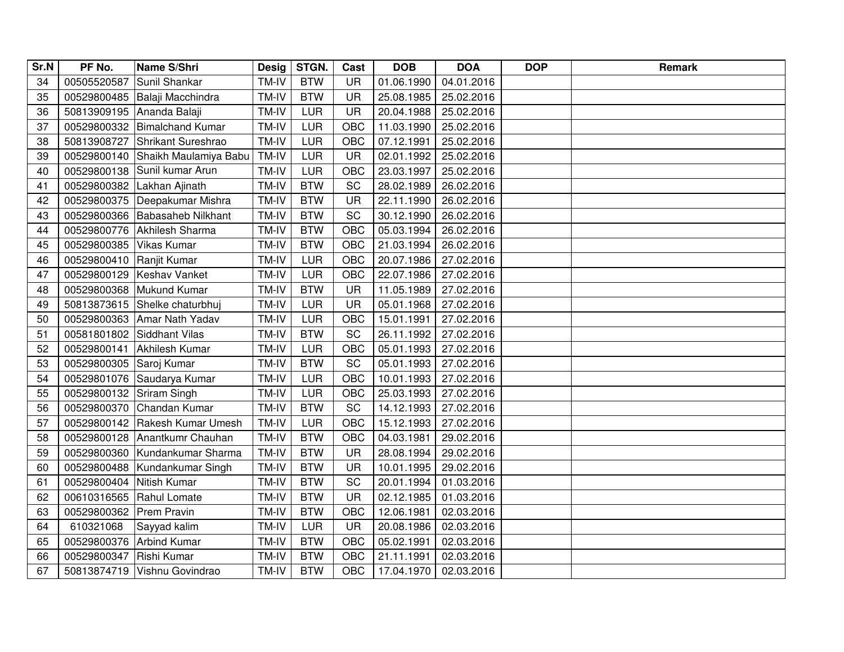| Sr.N | PF No.      | Name S/Shri               | <b>Desig</b> | STGN.      | Cast      | <b>DOB</b> | <b>DOA</b> | <b>DOP</b> | <b>Remark</b> |
|------|-------------|---------------------------|--------------|------------|-----------|------------|------------|------------|---------------|
| 34   | 00505520587 | Sunil Shankar             | TM-IV        | <b>BTW</b> | <b>UR</b> | 01.06.1990 | 04.01.2016 |            |               |
| 35   | 00529800485 | Balaji Macchindra         | TM-IV        | <b>BTW</b> | <b>UR</b> | 25.08.1985 | 25.02.2016 |            |               |
| 36   | 50813909195 | Ananda Balaji             | TM-IV        | LUR        | <b>UR</b> | 20.04.1988 | 25.02.2016 |            |               |
| 37   | 00529800332 | <b>Bimalchand Kumar</b>   | TM-IV        | LUR        | OBC       | 11.03.1990 | 25.02.2016 |            |               |
| 38   | 50813908727 | Shrikant Sureshrao        | TM-IV        | LUR        | OBC       | 07.12.1991 | 25.02.2016 |            |               |
| 39   | 00529800140 | Shaikh Maulamiya Babu     | TM-IV        | LUR        | <b>UR</b> | 02.01.1992 | 25.02.2016 |            |               |
| 40   | 00529800138 | Sunil kumar Arun          | TM-IV        | LUR        | OBC       | 23.03.1997 | 25.02.2016 |            |               |
| 41   | 00529800382 | Lakhan Ajinath            | TM-IV        | <b>BTW</b> | SC        | 28.02.1989 | 26.02.2016 |            |               |
| 42   | 00529800375 | Deepakumar Mishra         | TM-IV        | <b>BTW</b> | <b>UR</b> | 22.11.1990 | 26.02.2016 |            |               |
| 43   | 00529800366 | <b>Babasaheb Nilkhant</b> | TM-IV        | <b>BTW</b> | SC        | 30.12.1990 | 26.02.2016 |            |               |
| 44   | 00529800776 | Akhilesh Sharma           | TM-IV        | <b>BTW</b> | OBC       | 05.03.1994 | 26.02.2016 |            |               |
| 45   | 00529800385 | Vikas Kumar               | TM-IV        | <b>BTW</b> | OBC       | 21.03.1994 | 26.02.2016 |            |               |
| 46   | 00529800410 | Ranjit Kumar              | TM-IV        | LUR        | OBC       | 20.07.1986 | 27.02.2016 |            |               |
| 47   | 00529800129 | Keshav Vanket             | TM-IV        | LUR        | OBC       | 22.07.1986 | 27.02.2016 |            |               |
| 48   | 00529800368 | Mukund Kumar              | TM-IV        | <b>BTW</b> | UR        | 11.05.1989 | 27.02.2016 |            |               |
| 49   | 50813873615 | Shelke chaturbhuj         | TM-IV        | <b>LUR</b> | UR        | 05.01.1968 | 27.02.2016 |            |               |
| 50   | 00529800363 | Amar Nath Yadav           | TM-IV        | LUR        | OBC       | 15.01.1991 | 27.02.2016 |            |               |
| 51   | 00581801802 | Siddhant Vilas            | TM-IV        | <b>BTW</b> | SC        | 26.11.1992 | 27.02.2016 |            |               |
| 52   | 00529800141 | Akhilesh Kumar            | TM-IV        | <b>LUR</b> | OBC       | 05.01.1993 | 27.02.2016 |            |               |
| 53   | 00529800305 | Saroj Kumar               | TM-IV        | <b>BTW</b> | SC        | 05.01.1993 | 27.02.2016 |            |               |
| 54   | 00529801076 | Saudarya Kumar            | TM-IV        | LUR        | OBC       | 10.01.1993 | 27.02.2016 |            |               |
| 55   | 00529800132 | Sriram Singh              | TM-IV        | LUR        | OBC       | 25.03.1993 | 27.02.2016 |            |               |
| 56   | 00529800370 | Chandan Kumar             | TM-IV        | <b>BTW</b> | SC        | 14.12.1993 | 27.02.2016 |            |               |
| 57   | 00529800142 | Rakesh Kumar Umesh        | TM-IV        | LUR        | OBC       | 15.12.1993 | 27.02.2016 |            |               |
| 58   | 00529800128 | Anantkumr Chauhan         | TM-IV        | <b>BTW</b> | OBC       | 04.03.1981 | 29.02.2016 |            |               |
| 59   | 00529800360 | Kundankumar Sharma        | TM-IV        | <b>BTW</b> | <b>UR</b> | 28.08.1994 | 29.02.2016 |            |               |
| 60   | 00529800488 | Kundankumar Singh         | TM-IV        | <b>BTW</b> | <b>UR</b> | 10.01.1995 | 29.02.2016 |            |               |
| 61   | 00529800404 | Nitish Kumar              | TM-IV        | <b>BTW</b> | SC        | 20.01.1994 | 01.03.2016 |            |               |
| 62   | 00610316565 | Rahul Lomate              | TM-IV        | <b>BTW</b> | <b>UR</b> | 02.12.1985 | 01.03.2016 |            |               |
| 63   | 00529800362 | <b>Prem Pravin</b>        | TM-IV        | <b>BTW</b> | OBC       | 12.06.1981 | 02.03.2016 |            |               |
| 64   | 610321068   | Sayyad kalim              | TM-IV        | LUR        | <b>UR</b> | 20.08.1986 | 02.03.2016 |            |               |
| 65   | 00529800376 | <b>Arbind Kumar</b>       | TM-IV        | <b>BTW</b> | OBC       | 05.02.1991 | 02.03.2016 |            |               |
| 66   | 00529800347 | Rishi Kumar               | TM-IV        | <b>BTW</b> | OBC       | 21.11.1991 | 02.03.2016 |            |               |
| 67   | 50813874719 | Vishnu Govindrao          | TM-IV        | <b>BTW</b> | OBC       | 17.04.1970 | 02.03.2016 |            |               |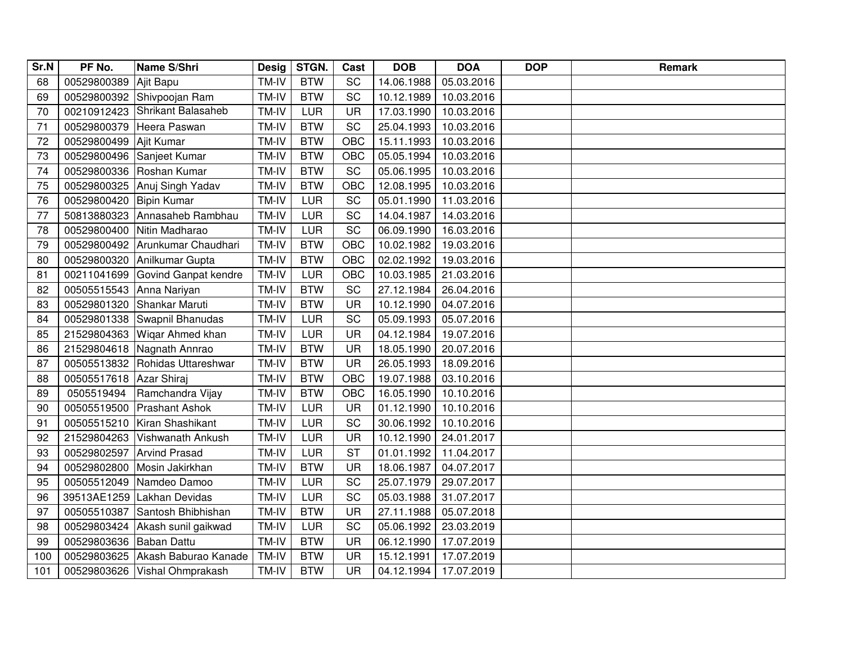| Sr.N | PF No.      | Name S/Shri                   | <b>Desig</b> | STGN.      | Cast       | <b>DOB</b> | <b>DOA</b> | <b>DOP</b> | <b>Remark</b> |
|------|-------------|-------------------------------|--------------|------------|------------|------------|------------|------------|---------------|
| 68   | 00529800389 | Ajit Bapu                     | TM-IV        | <b>BTW</b> | SC         | 14.06.1988 | 05.03.2016 |            |               |
| 69   |             | 00529800392 Shivpoojan Ram    | TM-IV        | <b>BTW</b> | SC         | 10.12.1989 | 10.03.2016 |            |               |
| 70   | 00210912423 | Shrikant Balasaheb            | TM-IV        | LUR        | <b>UR</b>  | 17.03.1990 | 10.03.2016 |            |               |
| 71   | 00529800379 | Heera Paswan                  | TM-IV        | <b>BTW</b> | SC         | 25.04.1993 | 10.03.2016 |            |               |
| 72   | 00529800499 | Ajit Kumar                    | TM-IV        | <b>BTW</b> | OBC        | 15.11.1993 | 10.03.2016 |            |               |
| 73   | 00529800496 | Sanjeet Kumar                 | TM-IV        | <b>BTW</b> | <b>OBC</b> | 05.05.1994 | 10.03.2016 |            |               |
| 74   | 00529800336 | Roshan Kumar                  | TM-IV        | <b>BTW</b> | SC         | 05.06.1995 | 10.03.2016 |            |               |
| 75   | 00529800325 | Anuj Singh Yadav              | TM-IV        | <b>BTW</b> | OBC        | 12.08.1995 | 10.03.2016 |            |               |
| 76   | 00529800420 | <b>Bipin Kumar</b>            | TM-IV        | LUR        | SC         | 05.01.1990 | 11.03.2016 |            |               |
| 77   | 50813880323 | Annasaheb Rambhau             | TM-IV        | LUR        | SC         | 14.04.1987 | 14.03.2016 |            |               |
| 78   | 00529800400 | Nitin Madharao                | TM-IV        | LUR        | SC         | 06.09.1990 | 16.03.2016 |            |               |
| 79   | 00529800492 | Arunkumar Chaudhari           | TM-IV        | <b>BTW</b> | OBC        | 10.02.1982 | 19.03.2016 |            |               |
| 80   | 00529800320 | Anilkumar Gupta               | TM-IV        | <b>BTW</b> | OBC        | 02.02.1992 | 19.03.2016 |            |               |
| 81   | 00211041699 | Govind Ganpat kendre          | TM-IV        | LUR        | OBC        | 10.03.1985 | 21.03.2016 |            |               |
| 82   | 00505515543 | Anna Nariyan                  | TM-IV        | <b>BTW</b> | SC         | 27.12.1984 | 26.04.2016 |            |               |
| 83   | 00529801320 | Shankar Maruti                | TM-IV        | <b>BTW</b> | UR         | 10.12.1990 | 04.07.2016 |            |               |
| 84   | 00529801338 | Swapnil Bhanudas              | TM-IV        | <b>LUR</b> | <b>SC</b>  | 05.09.1993 | 05.07.2016 |            |               |
| 85   | 21529804363 | Wigar Ahmed khan              | TM-IV        | LUR        | <b>UR</b>  | 04.12.1984 | 19.07.2016 |            |               |
| 86   | 21529804618 | Nagnath Annrao                | TM-IV        | <b>BTW</b> | <b>UR</b>  | 18.05.1990 | 20.07.2016 |            |               |
| 87   | 00505513832 | Rohidas Uttareshwar           | TM-IV        | <b>BTW</b> | <b>UR</b>  | 26.05.1993 | 18.09.2016 |            |               |
| 88   | 00505517618 | Azar Shiraj                   | TM-IV        | <b>BTW</b> | OBC        | 19.07.1988 | 03.10.2016 |            |               |
| 89   | 0505519494  | Ramchandra Vijay              | TM-IV        | <b>BTW</b> | OBC        | 16.05.1990 | 10.10.2016 |            |               |
| 90   | 00505519500 | <b>Prashant Ashok</b>         | TM-IV        | LUR        | <b>UR</b>  | 01.12.1990 | 10.10.2016 |            |               |
| 91   | 00505515210 | Kiran Shashikant              | TM-IV        | LUR        | SC         | 30.06.1992 | 10.10.2016 |            |               |
| 92   | 21529804263 | Vishwanath Ankush             | TM-IV        | LUR        | <b>UR</b>  | 10.12.1990 | 24.01.2017 |            |               |
| 93   | 00529802597 | <b>Arvind Prasad</b>          | TM-IV        | LUR        | <b>ST</b>  | 01.01.1992 | 11.04.2017 |            |               |
| 94   | 00529802800 | Mosin Jakirkhan               | TM-IV        | <b>BTW</b> | <b>UR</b>  | 18.06.1987 | 04.07.2017 |            |               |
| 95   | 00505512049 | Namdeo Damoo                  | TM-IV        | LUR        | SC         | 25.07.1979 | 29.07.2017 |            |               |
| 96   | 39513AE1259 | Lakhan Devidas                | TM-IV        | LUR        | SC         | 05.03.1988 | 31.07.2017 |            |               |
| 97   | 00505510387 | Santosh Bhibhishan            | TM-IV        | <b>BTW</b> | <b>UR</b>  | 27.11.1988 | 05.07.2018 |            |               |
| 98   | 00529803424 | Akash sunil gaikwad           | TM-IV        | LUR        | SC         | 05.06.1992 | 23.03.2019 |            |               |
| 99   | 00529803636 | Baban Dattu                   | TM-IV        | <b>BTW</b> | <b>UR</b>  | 06.12.1990 | 17.07.2019 |            |               |
| 100  | 00529803625 | Akash Baburao Kanade          | TM-IV        | <b>BTW</b> | <b>UR</b>  | 15.12.1991 | 17.07.2019 |            |               |
| 101  |             | 00529803626 Vishal Ohmprakash | TM-IV        | <b>BTW</b> | <b>UR</b>  | 04.12.1994 | 17.07.2019 |            |               |